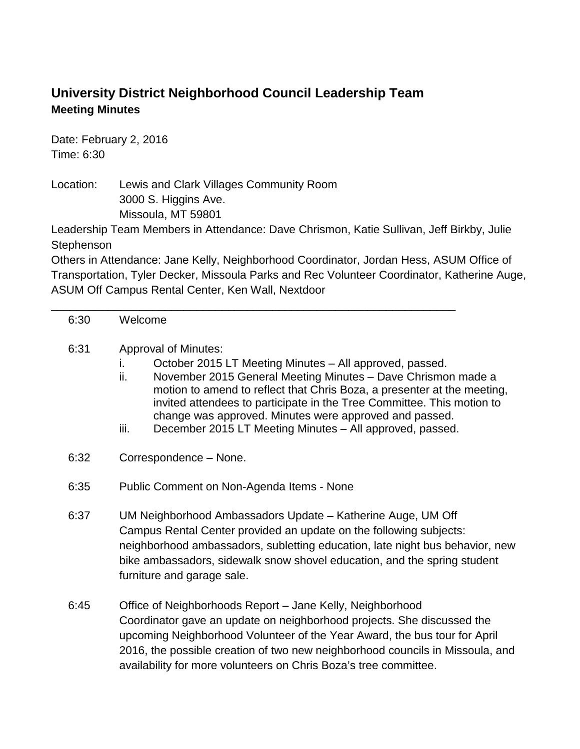## **University District Neighborhood Council Leadership Team Meeting Minutes**

Date: February 2, 2016 Time: 6:30

Location: Lewis and Clark Villages Community Room 3000 S. Higgins Ave. Missoula, MT 59801

Leadership Team Members in Attendance: Dave Chrismon, Katie Sullivan, Jeff Birkby, Julie **Stephenson** 

Others in Attendance: Jane Kelly, Neighborhood Coordinator, Jordan Hess, ASUM Office of Transportation, Tyler Decker, Missoula Parks and Rec Volunteer Coordinator, Katherine Auge, ASUM Off Campus Rental Center, Ken Wall, Nextdoor

## 6:30 Welcome

## 6:31 Approval of Minutes:

i. October 2015 LT Meeting Minutes – All approved, passed.

\_\_\_\_\_\_\_\_\_\_\_\_\_\_\_\_\_\_\_\_\_\_\_\_\_\_\_\_\_\_\_\_\_\_\_\_\_\_\_\_\_\_\_\_\_\_\_\_\_\_\_\_\_\_\_\_\_\_\_\_\_\_\_\_

- ii. November 2015 General Meeting Minutes Dave Chrismon made a motion to amend to reflect that Chris Boza, a presenter at the meeting, invited attendees to participate in the Tree Committee. This motion to change was approved. Minutes were approved and passed.
- iii. December 2015 LT Meeting Minutes All approved, passed.
- 6:32 Correspondence None.
- 6:35 Public Comment on Non-Agenda Items None
- 6:37 UM Neighborhood Ambassadors Update Katherine Auge, UM Off Campus Rental Center provided an update on the following subjects: neighborhood ambassadors, subletting education, late night bus behavior, new bike ambassadors, sidewalk snow shovel education, and the spring student furniture and garage sale.
- 6:45 Office of Neighborhoods Report Jane Kelly, Neighborhood Coordinator gave an update on neighborhood projects. She discussed the upcoming Neighborhood Volunteer of the Year Award, the bus tour for April 2016, the possible creation of two new neighborhood councils in Missoula, and availability for more volunteers on Chris Boza's tree committee.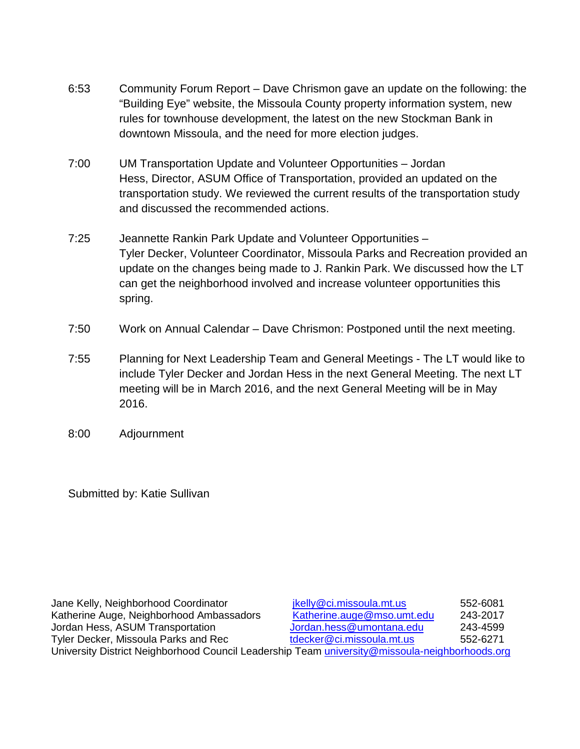- 6:53 Community Forum Report Dave Chrismon gave an update on the following: the "Building Eye" website, the Missoula County property information system, new rules for townhouse development, the latest on the new Stockman Bank in downtown Missoula, and the need for more election judges.
- 7:00 UM Transportation Update and Volunteer Opportunities Jordan Hess, Director, ASUM Office of Transportation, provided an updated on the transportation study. We reviewed the current results of the transportation study and discussed the recommended actions.
- 7:25 Jeannette Rankin Park Update and Volunteer Opportunities Tyler Decker, Volunteer Coordinator, Missoula Parks and Recreation provided an update on the changes being made to J. Rankin Park. We discussed how the LT can get the neighborhood involved and increase volunteer opportunities this spring.
- 7:50 Work on Annual Calendar Dave Chrismon: Postponed until the next meeting.
- 7:55 Planning for Next Leadership Team and General Meetings The LT would like to include Tyler Decker and Jordan Hess in the next General Meeting. The next LT meeting will be in March 2016, and the next General Meeting will be in May 2016.
- 8:00 Adjournment

Submitted by: Katie Sullivan

| Jane Kelly, Neighborhood Coordinator                                                           | jkelly@ci.missoula.mt.us   | 552-6081 |
|------------------------------------------------------------------------------------------------|----------------------------|----------|
| Katherine Auge, Neighborhood Ambassadors                                                       | Katherine.auge@mso.umt.edu | 243-2017 |
| Jordan Hess, ASUM Transportation                                                               | Jordan.hess@umontana.edu   | 243-4599 |
| Tyler Decker, Missoula Parks and Rec                                                           | tdecker@ci.missoula.mt.us  | 552-6271 |
| University District Neighborhood Council Leadership Team university@missoula-neighborhoods.org |                            |          |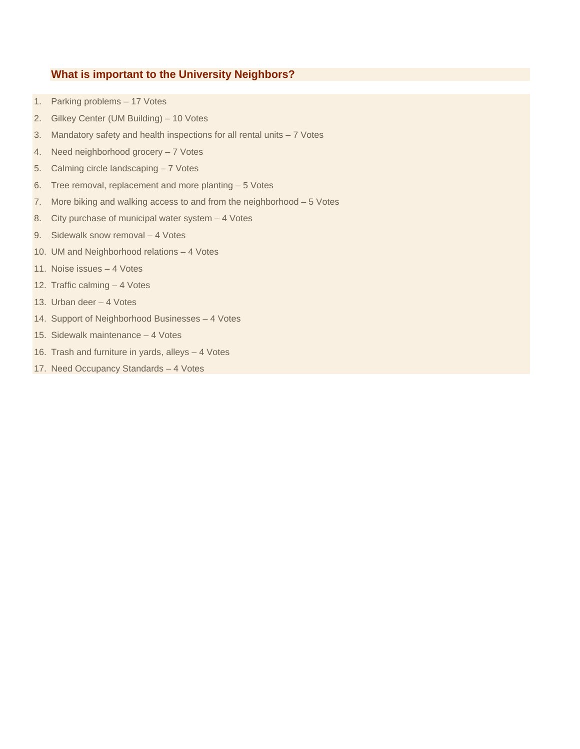## **What is important to the University Neighbors?**

- 1. Parking problems 17 Votes
- 2. Gilkey Center (UM Building) 10 Votes
- 3. Mandatory safety and health inspections for all rental units 7 Votes
- 4. Need neighborhood grocery 7 Votes
- 5. Calming circle landscaping 7 Votes
- 6. Tree removal, replacement and more planting 5 Votes
- 7. More biking and walking access to and from the neighborhood 5 Votes
- 8. City purchase of municipal water system 4 Votes
- 9. Sidewalk snow removal 4 Votes
- 10. UM and Neighborhood relations 4 Votes
- 11. Noise issues 4 Votes
- 12. Traffic calming 4 Votes
- 13. Urban deer 4 Votes
- 14. Support of Neighborhood Businesses 4 Votes
- 15. Sidewalk maintenance 4 Votes
- 16. Trash and furniture in yards, alleys 4 Votes
- 17. Need Occupancy Standards 4 Votes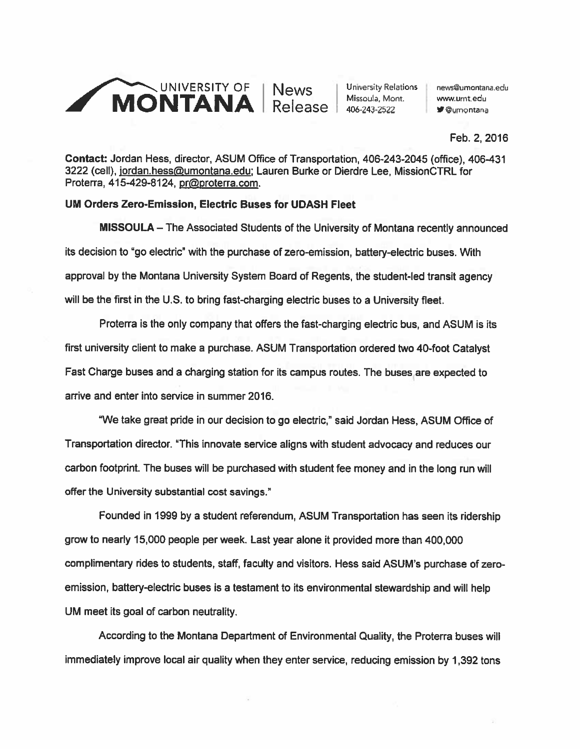

Feb. 2, 2016

Contact: Jordan Hess, director, ASUM Office of Transportation, 406-243-2045 (office), 406431 3222 (cell), jordan.hess@umontana.edu; Lauren Burke or Dierdre Lee, MissionCTRL for Proterra, 415-429-8124, pr@proterra.com.

## UM Orders Zero-Emission, Electric Buses for UDASH Fleet

MISSOULA — The Associated Students of the University of Montana recently announced its decision to "go electric" with the purchase of zero-emission, battery-electric buses. With approva<sup>l</sup> by the Montana University System Board of Regents, the student-led transit agency will be the first in the U.S. to bring fast-charging electric buses to <sup>a</sup> University fleet.

Proterra is the only company that offers the fast-charging electric bus, and ASUM is its first university client to make <sup>a</sup> purchase. ASUM Transportation ordered two 40-foot Catalyst Fast Charge buses and <sup>a</sup> charging station for its campus routes. The buses are expected to arrive and enter into service in summer 2016.

"We take grea<sup>t</sup> pride in our decision to go electric," said Jordan Hess, ASUM Office of Transportation director. "This innovate service aligns with student advocacy and reduces our carbon footprint. The buses will be purchased with student fee money and in the long run will offer the University substantial cost savings."

Founded in 1999 by <sup>a</sup> student referendum, ASUM Transportation has seen its ridership grow to nearly 15,000 people per week. Last year alone it provided more than 400,000 complimentary rides to students, staff, faculty and visitors. Hess said ASUM's purchase of zero emission, battery-electric buses is <sup>a</sup> testament to its environmental stewardship and will help UM meet its goal of carbon neutrality.

According to the Montana Department of Environmental Quality, the Proterra buses will immediately improve local air quality when they enter service, reducing emission by 1,392 tons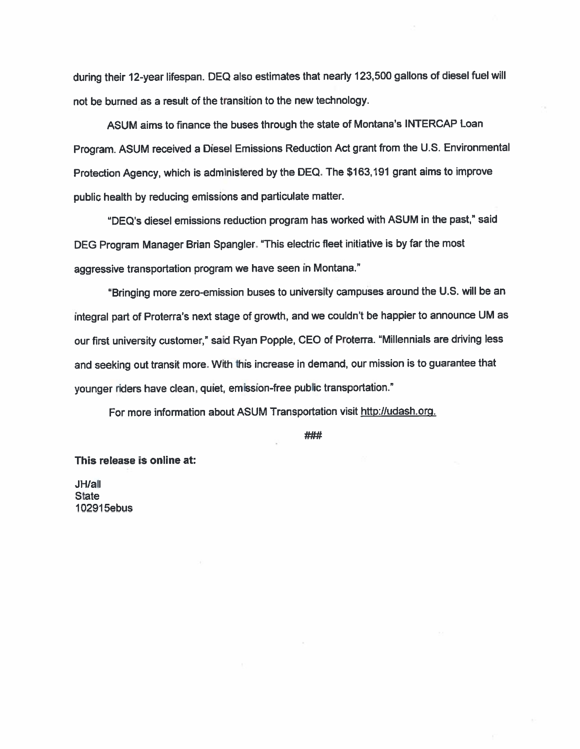during their 12-year lifespan. DEQ also estimates that nearly 123,500 gallons of diesel fuel will not be burned as <sup>a</sup> result of the transition to the new technology.

ASUM aims to finance the buses through the state of Montana's INTERCAP Loan Program. ASUM received <sup>a</sup> Diesel Emissions Reduction Act gran<sup>t</sup> from the U.S. Environmental Protection Agency, which is administered by the DEQ. The \$163,191 gran<sup>t</sup> aims to improve public health by reducing emissions and particulate matter.

"DEQ's diesel emissions reduction program has worked with ASUM in the past," said DEG Program Manager Brian Spangler. "This electric fleet initiative is by far the most aggressive transportation program we have seen in Montana."

"Bringing more zero-emission buses to university campuses around the U.S. will be an integral par<sup>t</sup> of Proterra's next stage of growth, and we couldn't be happier to announce UM as our first university customer," said Ryan Popple, CEO of Proterra. "Millennials are driving less and seeking out transit more. With this increase in demand, our mission is to guarantee that younger riders have clean, quiet, emission-free public transportation."

For more information about ASUM Transportation visit http://udash.org.

###

#### This release is online at:

JH/all **State** 102915ebus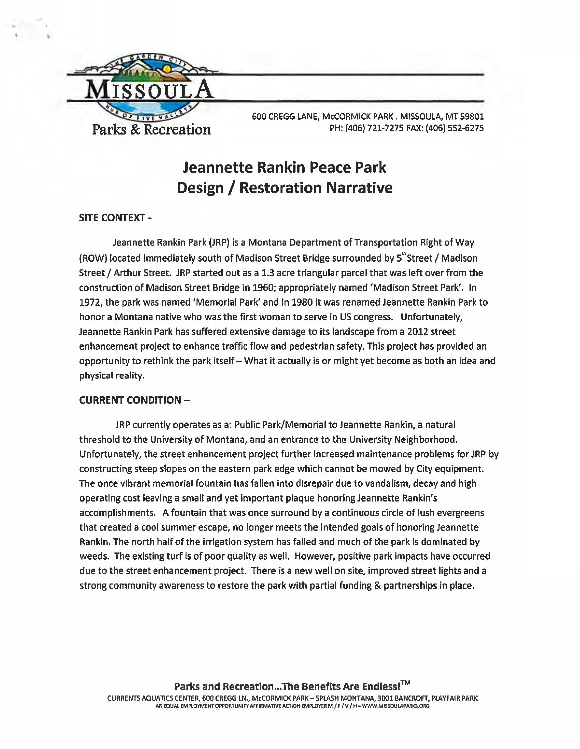

600 CREGG LANE, McCORMICK PARK. MISSOULA, MT 59801 Parks & Recreation PH: (406) 721-7275 FAX: (406) 552-6275

# Jeannette Rankin Peace Park Design / Restoration Narrative

## SITE CONTEXT -

Jeannette Rankin Park (JRP) is a Montana Department of Transportation Right of Way (ROW) located immediately south of Madison Street Bridge surrounded by 5"Street / Madison Street / Arthur Street. JRP started out as <sup>a</sup> 1.3 acre triangular parcel that was left over from the construction of Madison Street Bridge in 1960; appropriately named 'Madison Street Park'. In 1972, the park was named 'Memorial Park' and in 1980 it was renamed Jeannette Rankin Park to honor <sup>a</sup> Montana native who was the first woman to serve in US congress. Unfortunately, Jeannette Rankin Park has suffered extensive damage to its landscape from <sup>a</sup> 2012 street enhancement project to enhance traffic flow and pedestrian safety. This project has provided an opportunity to rethink the park itself— What it actually is or might ye<sup>t</sup> become as both an idea and physical reality.

## CURRENT CONDITION —

JRP currently operates as a: Public Park/Memorial to Jeannette Rankin, <sup>a</sup> natural threshold to the University of Montana, and an entrance to the University Neighborhood. Unfortunately, the street enhancement project further increased maintenance problems for JRP by constructing steep slopes on the eastern park edge which cannot be mowed by City equipment. The once vibrant memorial fountain has fallen into disrepair due to vandalism, decay and high operating cost leaving <sup>a</sup> small and ye<sup>t</sup> important plaque honoring Jeannette Rankin's accomplishments. A fountain that was once surround by <sup>a</sup> continuous circle of lush evergreens that created <sup>a</sup> cool summer escape, no longer meets the intended goals of honoring Jeannette Rankin. The north half of the irrigation system has failed and much of the park is dominated by weeds. The existing turf is of poor quality as well. However, positive park impacts have occurred due to the street enhancement project. There is <sup>a</sup> new well on site, improved street lights and <sup>a</sup> strong community awareness to restore the park with partial funding & partnerships in place.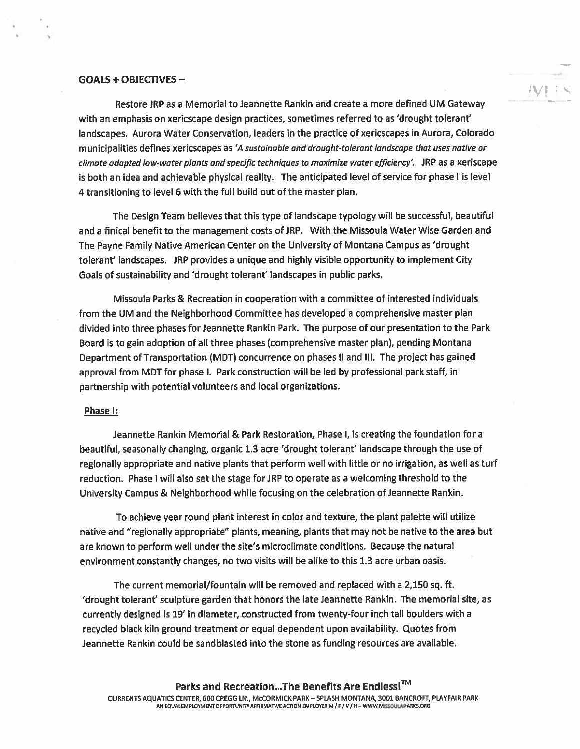#### GOALS + OBJECTIVES -

Restore JRP as <sup>a</sup> Memorial to Jeannette Rankin and create <sup>a</sup> more defined UM Gateway with an emphasis on xericscape design practices, sometimes referred to as 'drought tolerant' landscapes. Aurora Water Conservation, leaders in the practice of xericscapes in Aurora, Colorado municipalities defines xericscapes as 'A sustainable and drought-tolerant landscape that uses native ar climate adapted low-water <sup>p</sup>lants and specific techniques ta maximize water efficiency'. JRP as <sup>a</sup> xeriscape is both an idea and achievable physical reality. The anticipated level of service for phase I is level 4 transitioning to level 6 with the full build out of the master plan.

'fl

The Design Team believes that this type of landscape typology will be successful, beautiful and a finical benefit to the management costs of JRP. With the Missoula Water Wise Garden and The Payne Family Native American Center on the University of Montana Campus as 'drought tolerant' landscapes. JRP provides <sup>a</sup> unique and highly visible opportunity to implement City Goals of sustainability and 'drought tolerant' landscapes in public parks.

Missoula Parks & Recreation in cooperation with <sup>a</sup> committee of interested individuals from the UM and the Neighborhood Committee has developed <sup>a</sup> comprehensive master plan divided into three phases for Jeannette Rankin Park. The purpose of our presentation to the Park Board is to gain adoption of all three phases (comprehensive master plan), pending Montana Department of Transportation (MUT) concurrence on phases II and Ill. The project has gained approval from MDT for phase I. Park construction will be led by professional park staff, in partnership with potential volunteers and local organizations.

#### Phase I:

Jeannette Rankin Memorial & Park Restoration, Phase I, is creating the foundation for <sup>a</sup> beautiful, seasonally changing, organic 1.3 acre 'drought tolerant' landscape through the use of regionally appropriate and native <sup>p</sup>lants that perform well with little or no irrigation, as well as turf reduction. Phase I will also set the stage for JRP to operate as a welcoming threshold to the University Campus & Neighborhood while focusing on the celebration of Jeannette Rankin.

To achieve year round <sup>p</sup>lant interest in color and texture, the <sup>p</sup>lant palette will utilize native and "regionally appropriate" plants, meaning, plants that may not be native to the area but are known to perform well under the site's microclimate conditions. Because the natural environment constantly changes, no two visits will be alike to this 1.3 acre urban oasis.

The current memorial/fountain will be removed and replaced with <sup>a</sup> 2,150 sq. ft. 'drought tolerant' sculpture garden that honors the late Jeannette Rankin. The memorial site, as currently designed is 19' in diameter, constructed from twenty-four inch tall boulders with <sup>a</sup> recycled black kiln ground treatment or equal dependent upon availability. Quotes from Jeannette Rankin could be sandblasted into the stone as funding resources are available.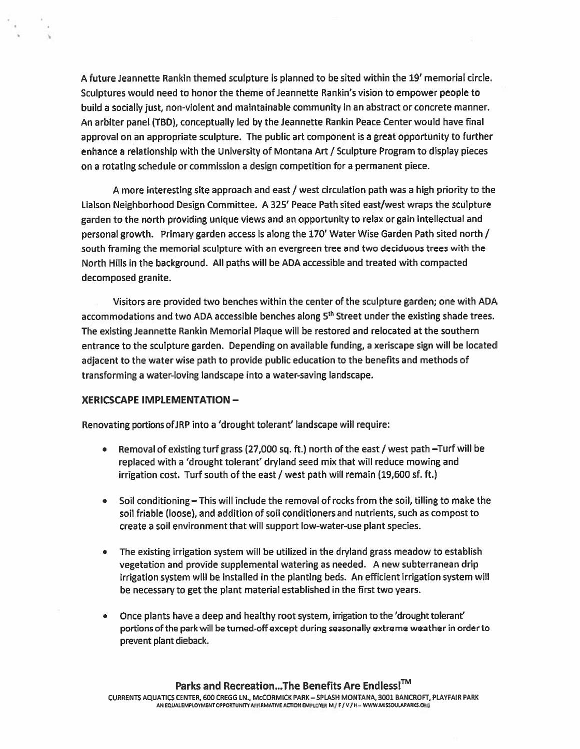A future Jeannette Rankin themed sculpture is planned to be sited within the 19' memorial circle. Sculptures would need to honor the theme of Jeannette Rankin's vision to empower people to build <sup>a</sup> socially just, non-violent and maintainable community in an abstract or concrete manner. An arbiter panel (TBD), conceptually led by the Jeannette Rankin Peace Center would have final approval on an appropriate sculpture. The public art componen<sup>t</sup> is <sup>a</sup> grea<sup>t</sup> opportunity to further enhance <sup>a</sup> relationship with the University of Montana Art / Sculpture Program to display pieces on <sup>a</sup> rotating schedule or commission <sup>a</sup> design competition for <sup>a</sup> permanen<sup>t</sup> piece.

A more interesting site approach and east / west circulation path was <sup>a</sup> high priority to the Liaison Neighborhood Design Committee. A 325' Peace Path sited east/west wraps the sculpture garden to the north providing unique views and an opportunity to relax or gain intellectual and personal growth. Primary garden access is along the 170' Water Wise Garden Path sited north / south framing the memorial sculpture with an evergreen tree and two deciduous trees with the North Hills in the background. All paths will be ADA accessible and treated with compacted decomposed granite.

Visitors are provided two benches within the center of the sculpture garden; one with ADA accommodations and two ADA accessible benches along 5<sup>th</sup> Street under the existing shade trees. The existing Jeannette Rankin Memorial Plaque will be restored and relocated at the southern entrance to the sculpture garden. Depending on available funding, <sup>a</sup> xeriscape sign will be located adjacent to the water wise path to provide public education to the benefits and methods of transforming <sup>a</sup> water-loving landscape into <sup>a</sup> water-saving landscape.

#### XERICSCAPE IMPLEMENTATION —

Renovating portions ofJRP into <sup>a</sup> 'drought tolerant' landscape will require:

- • Removal of existing turf grass (27,000 sq. ft.) north of the east / west path —Turf will be replaced with <sup>a</sup> 'drought tolerant' dryland seed mix that will reduce mowing and irrigation cost. Turf south of the east / west path will remain (19,600 sf. ft.)
- Soil conditioning— This will include the removal of rocks from the soil, tilling to make the soil friable (loose), and addition of soil conditioners and nutrients, such as compos<sup>t</sup> to create <sup>a</sup> soil environment that will suppor<sup>t</sup> low-water-use plant species.
- • The existing irrigation system will be utilized in the dryland grass meadow to establish vegetation and provide supplemental watering as needed. A new subterranean drip irrigation system will be installed in the planting beds. An efficient irrigation system will be necessary to ge<sup>t</sup> the plant material established in the first two years.
- Once plants have <sup>a</sup> deep and healthy root system, irrigation to the 'drought tolerant' portions of the park will be turned-off excep<sup>t</sup> during seasonally extreme weather in order to preven<sup>t</sup> plant dieback.

### Parks and Recreation...The Benefits Are Endless!<sup>™</sup>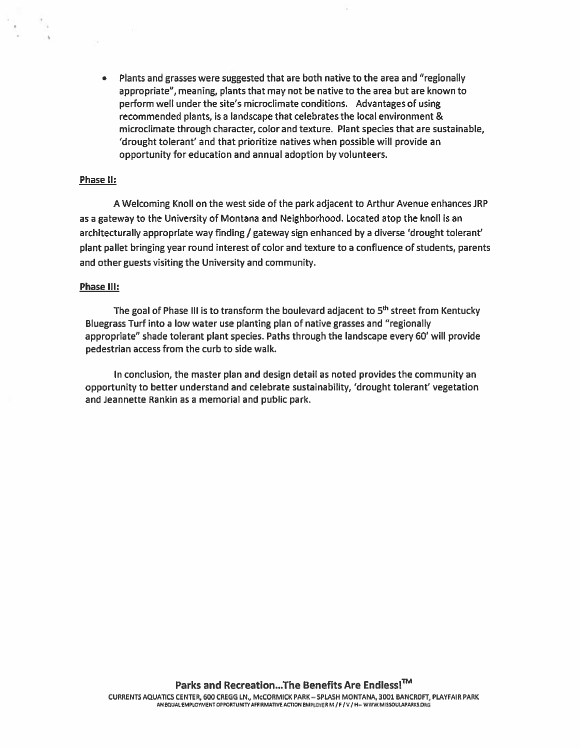Plants and grasses were suggested that are both native to the area and "regionally appropriate", meaning, plants that may not be native to the area but are known to perform well under the site's microclimate conditions. Advantages of using recommended plants, is a landscape that celebrates the local environment & microclimate through character, color and texture. Plant species that are sustainable, 'drought tolerant' and that prioritize natives when possible will provide an opportunity for education and annual adoption by volunteers.

#### Phase II:

A Welcoming Knoll on the west side of the park adjacent to Arthur Avenue enhances JRP as <sup>a</sup> gateway to the University of Montana and Neighborhood. Located atop the knoll is an architecturally appropriate way finding / gateway sign enhanced by a diverse 'drought tolerant' plant pallet bringing year round interest of color and texture to <sup>a</sup> confluence of students, parents and other guests visiting the University and community.

#### Phase Ill:

The goal of Phase III is to transform the boulevard adjacent to  $5<sup>th</sup>$  street from Kentucky Bluegrass Turf into <sup>a</sup> low water use planting plan of native grasses and "regionally appropriate" shade tolerant plant species. Paths through the landscape every 60' will provide pedestrian access from the curb to side walk.

In conclusion, the master plan and design detail as noted provides the community an opportunity to better understand and celebrate sustainability, 'drought tolerant' vegetation and Jeannette Rankin as <sup>a</sup> memorial and public park.